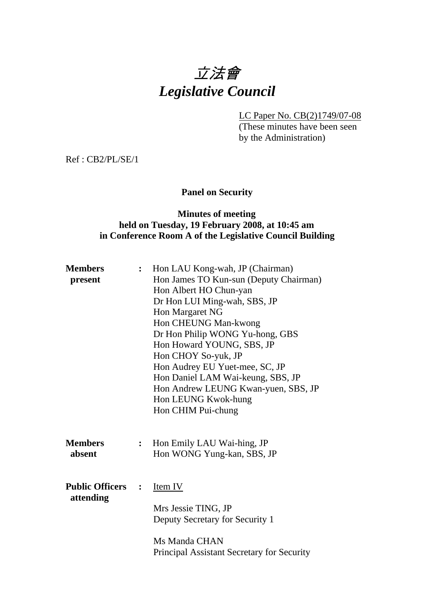# 立法會 *Legislative Council*

LC Paper No. CB(2)1749/07-08

(These minutes have been seen by the Administration)

Ref : CB2/PL/SE/1

# **Panel on Security**

#### **Minutes of meeting held on Tuesday, 19 February 2008, at 10:45 am in Conference Room A of the Legislative Council Building**

| <b>Members</b>                      | $\ddot{\cdot}$ | Hon LAU Kong-wah, JP (Chairman)            |  |  |  |
|-------------------------------------|----------------|--------------------------------------------|--|--|--|
| present                             |                | Hon James TO Kun-sun (Deputy Chairman)     |  |  |  |
|                                     |                | Hon Albert HO Chun-yan                     |  |  |  |
|                                     |                | Dr Hon LUI Ming-wah, SBS, JP               |  |  |  |
|                                     |                | Hon Margaret NG                            |  |  |  |
|                                     |                | Hon CHEUNG Man-kwong                       |  |  |  |
|                                     |                | Dr Hon Philip WONG Yu-hong, GBS            |  |  |  |
|                                     |                | Hon Howard YOUNG, SBS, JP                  |  |  |  |
|                                     |                | Hon CHOY So-yuk, JP                        |  |  |  |
|                                     |                | Hon Audrey EU Yuet-mee, SC, JP             |  |  |  |
|                                     |                | Hon Daniel LAM Wai-keung, SBS, JP          |  |  |  |
|                                     |                | Hon Andrew LEUNG Kwan-yuen, SBS, JP        |  |  |  |
|                                     |                | Hon LEUNG Kwok-hung                        |  |  |  |
|                                     |                | Hon CHIM Pui-chung                         |  |  |  |
|                                     |                |                                            |  |  |  |
| <b>Members</b>                      | $\ddot{\cdot}$ | Hon Emily LAU Wai-hing, JP                 |  |  |  |
| absent                              |                | Hon WONG Yung-kan, SBS, JP                 |  |  |  |
|                                     |                |                                            |  |  |  |
| <b>Public Officers</b><br>attending | $\ddot{\cdot}$ | <b>Item IV</b>                             |  |  |  |
|                                     |                |                                            |  |  |  |
|                                     |                | Mrs Jessie TING, JP                        |  |  |  |
|                                     |                | Deputy Secretary for Security 1            |  |  |  |
|                                     |                | Ms Manda CHAN                              |  |  |  |
|                                     |                | Principal Assistant Secretary for Security |  |  |  |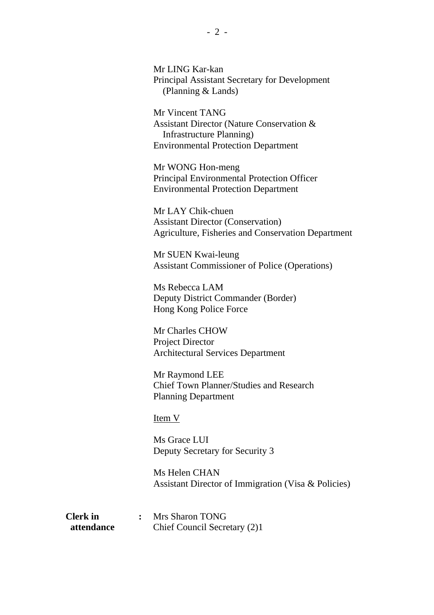Mr LING Kar-kan Principal Assistant Secretary for Development (Planning & Lands)

Mr Vincent TANG Assistant Director (Nature Conservation & Infrastructure Planning) Environmental Protection Department

Mr WONG Hon-meng Principal Environmental Protection Officer Environmental Protection Department

Mr LAY Chik-chuen Assistant Director (Conservation) Agriculture, Fisheries and Conservation Department

Mr SUEN Kwai-leung Assistant Commissioner of Police (Operations)

Ms Rebecca LAM Deputy District Commander (Border) Hong Kong Police Force

Mr Charles CHOW Project Director Architectural Services Department

Mr Raymond LEE Chief Town Planner/Studies and Research Planning Department

Item V

Ms Grace LUI Deputy Secretary for Security 3

Ms Helen CHAN Assistant Director of Immigration (Visa & Policies)

| <b>Clerk</b> in | Mrs Sharon TONG              |
|-----------------|------------------------------|
| attendance      | Chief Council Secretary (2)1 |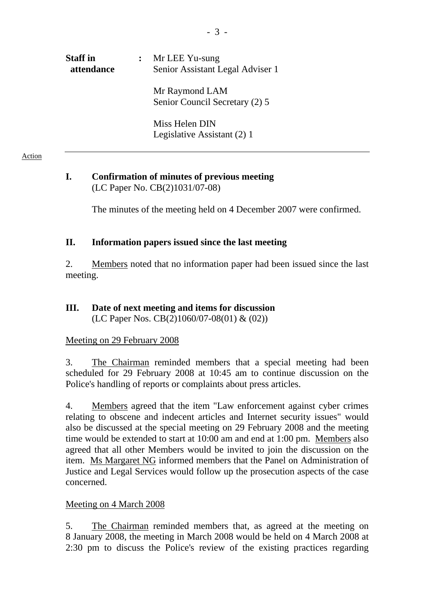| <b>Staff</b> in<br>attendance | Mr LEE Yu-sung<br>Senior Assistant Legal Adviser 1 |
|-------------------------------|----------------------------------------------------|
|                               | Mr Raymond LAM<br>Senior Council Secretary (2) 5   |
|                               | Miss Helen DIN<br>Legislative Assistant (2) 1      |

#### **I. Confirmation of minutes of previous meeting**  (LC Paper No. CB(2)1031/07-08)

The minutes of the meeting held on 4 December 2007 were confirmed.

### **II. Information papers issued since the last meeting**

2. Members noted that no information paper had been issued since the last meeting.

#### **III. Date of next meeting and items for discussion**  (LC Paper Nos. CB(2)1060/07-08(01) & (02))

#### Meeting on 29 February 2008

3. The Chairman reminded members that a special meeting had been scheduled for 29 February 2008 at 10:45 am to continue discussion on the Police's handling of reports or complaints about press articles.

4. Members agreed that the item "Law enforcement against cyber crimes relating to obscene and indecent articles and Internet security issues" would also be discussed at the special meeting on 29 February 2008 and the meeting time would be extended to start at 10:00 am and end at 1:00 pm. Members also agreed that all other Members would be invited to join the discussion on the item. Ms Margaret NG informed members that the Panel on Administration of Justice and Legal Services would follow up the prosecution aspects of the case concerned.

#### Meeting on 4 March 2008

5. The Chairman reminded members that, as agreed at the meeting on 8 January 2008, the meeting in March 2008 would be held on 4 March 2008 at 2:30 pm to discuss the Police's review of the existing practices regarding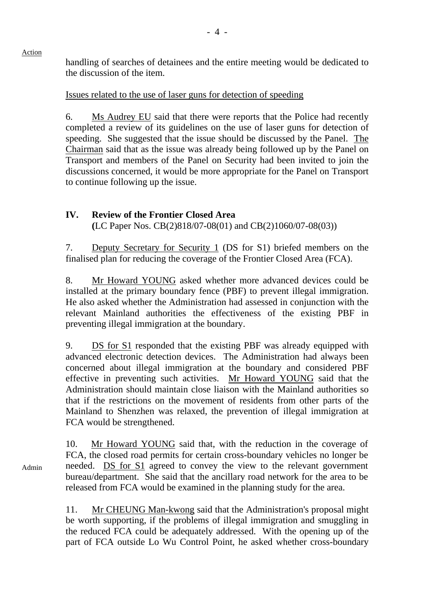handling of searches of detainees and the entire meeting would be dedicated to the discussion of the item.

Issues related to the use of laser guns for detection of speeding

6. Ms Audrey EU said that there were reports that the Police had recently completed a review of its guidelines on the use of laser guns for detection of speeding. She suggested that the issue should be discussed by the Panel. The Chairman said that as the issue was already being followed up by the Panel on Transport and members of the Panel on Security had been invited to join the discussions concerned, it would be more appropriate for the Panel on Transport to continue following up the issue.

## **IV. Review of the Frontier Closed Area (**LC Paper Nos. CB(2)818/07-08(01) and CB(2)1060/07-08(03))

7. Deputy Secretary for Security 1 (DS for S1) briefed members on the finalised plan for reducing the coverage of the Frontier Closed Area (FCA).

8. Mr Howard YOUNG asked whether more advanced devices could be installed at the primary boundary fence (PBF) to prevent illegal immigration. He also asked whether the Administration had assessed in conjunction with the relevant Mainland authorities the effectiveness of the existing PBF in preventing illegal immigration at the boundary.

9. DS for S1 responded that the existing PBF was already equipped with advanced electronic detection devices. The Administration had always been concerned about illegal immigration at the boundary and considered PBF effective in preventing such activities. Mr Howard YOUNG said that the Administration should maintain close liaison with the Mainland authorities so that if the restrictions on the movement of residents from other parts of the Mainland to Shenzhen was relaxed, the prevention of illegal immigration at FCA would be strengthened.

10. Mr Howard YOUNG said that, with the reduction in the coverage of FCA, the closed road permits for certain cross-boundary vehicles no longer be needed. DS for S1 agreed to convey the view to the relevant government bureau/department. She said that the ancillary road network for the area to be released from FCA would be examined in the planning study for the area.

11. Mr CHEUNG Man-kwong said that the Administration's proposal might be worth supporting, if the problems of illegal immigration and smuggling in the reduced FCA could be adequately addressed. With the opening up of the part of FCA outside Lo Wu Control Point, he asked whether cross-boundary

Admin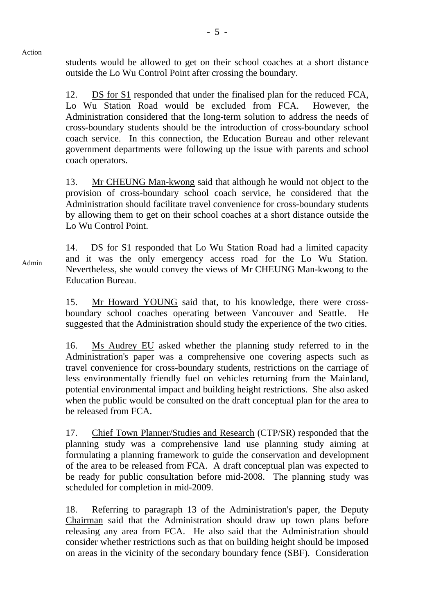students would be allowed to get on their school coaches at a short distance outside the Lo Wu Control Point after crossing the boundary.

Action

Admin

12. DS for S1 responded that under the finalised plan for the reduced FCA, Lo Wu Station Road would be excluded from FCA. However, the Administration considered that the long-term solution to address the needs of cross-boundary students should be the introduction of cross-boundary school coach service. In this connection, the Education Bureau and other relevant government departments were following up the issue with parents and school coach operators.

13. Mr CHEUNG Man-kwong said that although he would not object to the provision of cross-boundary school coach service, he considered that the Administration should facilitate travel convenience for cross-boundary students by allowing them to get on their school coaches at a short distance outside the Lo Wu Control Point.

14. DS for S1 responded that Lo Wu Station Road had a limited capacity and it was the only emergency access road for the Lo Wu Station. Nevertheless, she would convey the views of Mr CHEUNG Man-kwong to the Education Bureau.

15. Mr Howard YOUNG said that, to his knowledge, there were crossboundary school coaches operating between Vancouver and Seattle. He suggested that the Administration should study the experience of the two cities.

16. Ms Audrey EU asked whether the planning study referred to in the Administration's paper was a comprehensive one covering aspects such as travel convenience for cross-boundary students, restrictions on the carriage of less environmentally friendly fuel on vehicles returning from the Mainland, potential environmental impact and building height restrictions. She also asked when the public would be consulted on the draft conceptual plan for the area to be released from FCA.

17. Chief Town Planner/Studies and Research (CTP/SR) responded that the planning study was a comprehensive land use planning study aiming at formulating a planning framework to guide the conservation and development of the area to be released from FCA. A draft conceptual plan was expected to be ready for public consultation before mid-2008. The planning study was scheduled for completion in mid-2009.

18. Referring to paragraph 13 of the Administration's paper, the Deputy Chairman said that the Administration should draw up town plans before releasing any area from FCA. He also said that the Administration should consider whether restrictions such as that on building height should be imposed on areas in the vicinity of the secondary boundary fence (SBF). Consideration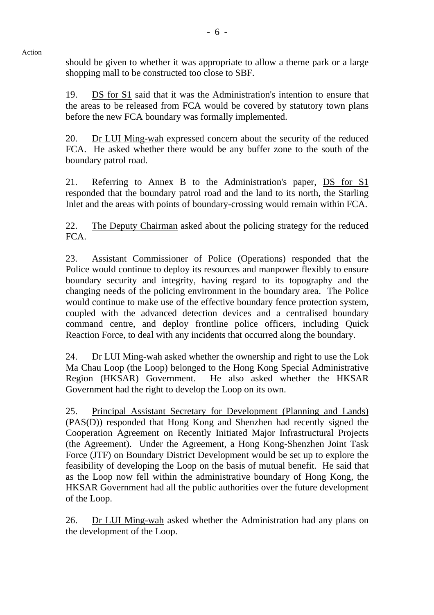should be given to whether it was appropriate to allow a theme park or a large shopping mall to be constructed too close to SBF.

19. DS for S1 said that it was the Administration's intention to ensure that the areas to be released from FCA would be covered by statutory town plans before the new FCA boundary was formally implemented.

20. Dr LUI Ming-wah expressed concern about the security of the reduced FCA. He asked whether there would be any buffer zone to the south of the boundary patrol road.

21. Referring to Annex B to the Administration's paper, DS for S1 responded that the boundary patrol road and the land to its north, the Starling Inlet and the areas with points of boundary-crossing would remain within FCA.

22. The Deputy Chairman asked about the policing strategy for the reduced FCA.

23. Assistant Commissioner of Police (Operations) responded that the Police would continue to deploy its resources and manpower flexibly to ensure boundary security and integrity, having regard to its topography and the changing needs of the policing environment in the boundary area. The Police would continue to make use of the effective boundary fence protection system, coupled with the advanced detection devices and a centralised boundary command centre, and deploy frontline police officers, including Quick Reaction Force, to deal with any incidents that occurred along the boundary.

24. Dr LUI Ming-wah asked whether the ownership and right to use the Lok Ma Chau Loop (the Loop) belonged to the Hong Kong Special Administrative Region (HKSAR) Government. He also asked whether the HKSAR Government had the right to develop the Loop on its own.

25. Principal Assistant Secretary for Development (Planning and Lands) (PAS(D)) responded that Hong Kong and Shenzhen had recently signed the Cooperation Agreement on Recently Initiated Major Infrastructural Projects (the Agreement). Under the Agreement, a Hong Kong-Shenzhen Joint Task Force (JTF) on Boundary District Development would be set up to explore the feasibility of developing the Loop on the basis of mutual benefit. He said that as the Loop now fell within the administrative boundary of Hong Kong, the HKSAR Government had all the public authorities over the future development of the Loop.

26. Dr LUI Ming-wah asked whether the Administration had any plans on the development of the Loop.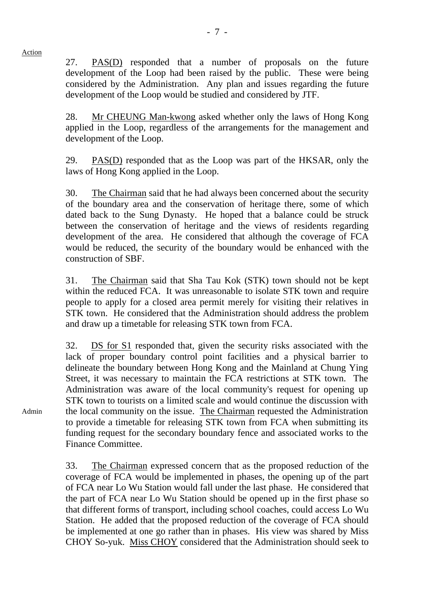27. PAS(D) responded that a number of proposals on the future development of the Loop had been raised by the public. These were being considered by the Administration. Any plan and issues regarding the future development of the Loop would be studied and considered by JTF.

28. Mr CHEUNG Man-kwong asked whether only the laws of Hong Kong applied in the Loop, regardless of the arrangements for the management and development of the Loop.

29. PAS(D) responded that as the Loop was part of the HKSAR, only the laws of Hong Kong applied in the Loop.

30. The Chairman said that he had always been concerned about the security of the boundary area and the conservation of heritage there, some of which dated back to the Sung Dynasty. He hoped that a balance could be struck between the conservation of heritage and the views of residents regarding development of the area. He considered that although the coverage of FCA would be reduced, the security of the boundary would be enhanced with the construction of SBF.

31. The Chairman said that Sha Tau Kok (STK) town should not be kept within the reduced FCA. It was unreasonable to isolate STK town and require people to apply for a closed area permit merely for visiting their relatives in STK town. He considered that the Administration should address the problem and draw up a timetable for releasing STK town from FCA.

32. DS for S1 responded that, given the security risks associated with the lack of proper boundary control point facilities and a physical barrier to delineate the boundary between Hong Kong and the Mainland at Chung Ying Street, it was necessary to maintain the FCA restrictions at STK town. The Administration was aware of the local community's request for opening up STK town to tourists on a limited scale and would continue the discussion with the local community on the issue. The Chairman requested the Administration to provide a timetable for releasing STK town from FCA when submitting its funding request for the secondary boundary fence and associated works to the Finance Committee.

33. The Chairman expressed concern that as the proposed reduction of the coverage of FCA would be implemented in phases, the opening up of the part of FCA near Lo Wu Station would fall under the last phase. He considered that the part of FCA near Lo Wu Station should be opened up in the first phase so that different forms of transport, including school coaches, could access Lo Wu Station. He added that the proposed reduction of the coverage of FCA should be implemented at one go rather than in phases. His view was shared by Miss CHOY So-yuk. Miss CHOY considered that the Administration should seek to

Action

Admin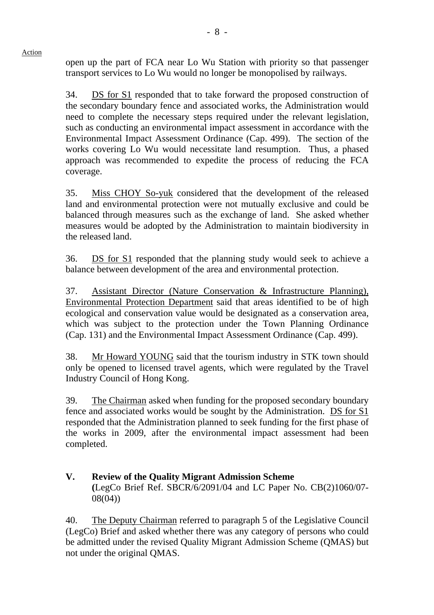open up the part of FCA near Lo Wu Station with priority so that passenger transport services to Lo Wu would no longer be monopolised by railways.

34. DS for S1 responded that to take forward the proposed construction of the secondary boundary fence and associated works, the Administration would need to complete the necessary steps required under the relevant legislation, such as conducting an environmental impact assessment in accordance with the Environmental Impact Assessment Ordinance (Cap. 499). The section of the works covering Lo Wu would necessitate land resumption. Thus, a phased approach was recommended to expedite the process of reducing the FCA coverage.

35. Miss CHOY So-yuk considered that the development of the released land and environmental protection were not mutually exclusive and could be balanced through measures such as the exchange of land. She asked whether measures would be adopted by the Administration to maintain biodiversity in the released land.

36. DS for S1 responded that the planning study would seek to achieve a balance between development of the area and environmental protection.

37. Assistant Director (Nature Conservation & Infrastructure Planning), Environmental Protection Department said that areas identified to be of high ecological and conservation value would be designated as a conservation area, which was subject to the protection under the Town Planning Ordinance (Cap. 131) and the Environmental Impact Assessment Ordinance (Cap. 499).

38. Mr Howard YOUNG said that the tourism industry in STK town should only be opened to licensed travel agents, which were regulated by the Travel Industry Council of Hong Kong.

39. The Chairman asked when funding for the proposed secondary boundary fence and associated works would be sought by the Administration. DS for S1 responded that the Administration planned to seek funding for the first phase of the works in 2009, after the environmental impact assessment had been completed.

**V. Review of the Quality Migrant Admission Scheme (**LegCo Brief Ref. SBCR/6/2091/04 and LC Paper No. CB(2)1060/07- 08(04))

40. The Deputy Chairman referred to paragraph 5 of the Legislative Council (LegCo) Brief and asked whether there was any category of persons who could be admitted under the revised Quality Migrant Admission Scheme (QMAS) but not under the original QMAS.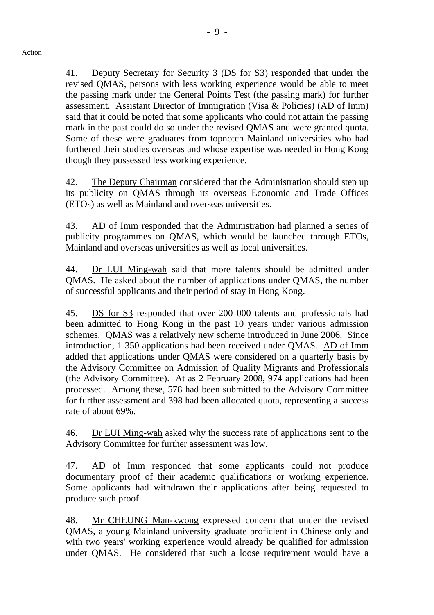41. Deputy Secretary for Security 3 (DS for S3) responded that under the revised QMAS, persons with less working experience would be able to meet the passing mark under the General Points Test (the passing mark) for further assessment. Assistant Director of Immigration (Visa & Policies) (AD of Imm) said that it could be noted that some applicants who could not attain the passing mark in the past could do so under the revised QMAS and were granted quota. Some of these were graduates from topnotch Mainland universities who had furthered their studies overseas and whose expertise was needed in Hong Kong though they possessed less working experience.

42. The Deputy Chairman considered that the Administration should step up its publicity on QMAS through its overseas Economic and Trade Offices (ETOs) as well as Mainland and overseas universities.

43. AD of Imm responded that the Administration had planned a series of publicity programmes on QMAS, which would be launched through ETOs, Mainland and overseas universities as well as local universities.

44. Dr LUI Ming-wah said that more talents should be admitted under QMAS. He asked about the number of applications under QMAS, the number of successful applicants and their period of stay in Hong Kong.

45. DS for S3 responded that over 200 000 talents and professionals had been admitted to Hong Kong in the past 10 years under various admission schemes. QMAS was a relatively new scheme introduced in June 2006. Since introduction, 1 350 applications had been received under QMAS. AD of Imm added that applications under QMAS were considered on a quarterly basis by the Advisory Committee on Admission of Quality Migrants and Professionals (the Advisory Committee). At as 2 February 2008, 974 applications had been processed. Among these, 578 had been submitted to the Advisory Committee for further assessment and 398 had been allocated quota, representing a success rate of about 69%.

46. Dr LUI Ming-wah asked why the success rate of applications sent to the Advisory Committee for further assessment was low.

47. AD of Imm responded that some applicants could not produce documentary proof of their academic qualifications or working experience. Some applicants had withdrawn their applications after being requested to produce such proof.

48. Mr CHEUNG Man-kwong expressed concern that under the revised QMAS, a young Mainland university graduate proficient in Chinese only and with two years' working experience would already be qualified for admission under QMAS. He considered that such a loose requirement would have a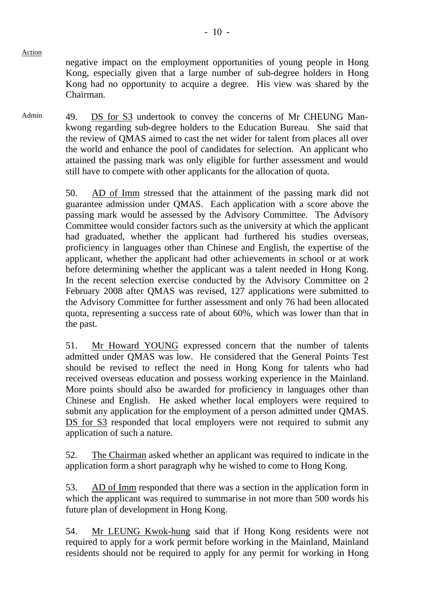negative impact on the employment opportunities of young people in Hong Kong, especially given that a large number of sub-degree holders in Hong Kong had no opportunity to acquire a degree. His view was shared by the Chairman.

Admin 49. DS for S3 undertook to convey the concerns of Mr CHEUNG Mankwong regarding sub-degree holders to the Education Bureau. She said that the review of QMAS aimed to cast the net wider for talent from places all over the world and enhance the pool of candidates for selection. An applicant who attained the passing mark was only eligible for further assessment and would still have to compete with other applicants for the allocation of quota.

> 50. AD of Imm stressed that the attainment of the passing mark did not guarantee admission under QMAS. Each application with a score above the passing mark would be assessed by the Advisory Committee. The Advisory Committee would consider factors such as the university at which the applicant had graduated, whether the applicant had furthered his studies overseas, proficiency in languages other than Chinese and English, the expertise of the applicant, whether the applicant had other achievements in school or at work before determining whether the applicant was a talent needed in Hong Kong. In the recent selection exercise conducted by the Advisory Committee on 2 February 2008 after QMAS was revised, 127 applications were submitted to the Advisory Committee for further assessment and only 76 had been allocated quota, representing a success rate of about 60%, which was lower than that in the past.

> 51. Mr Howard YOUNG expressed concern that the number of talents admitted under QMAS was low. He considered that the General Points Test should be revised to reflect the need in Hong Kong for talents who had received overseas education and possess working experience in the Mainland. More points should also be awarded for proficiency in languages other than Chinese and English. He asked whether local employers were required to submit any application for the employment of a person admitted under QMAS. DS for S3 responded that local employers were not required to submit any application of such a nature.

> 52. The Chairman asked whether an applicant was required to indicate in the application form a short paragraph why he wished to come to Hong Kong.

> 53. AD of Imm responded that there was a section in the application form in which the applicant was required to summarise in not more than 500 words his future plan of development in Hong Kong.

> 54. Mr LEUNG Kwok-hung said that if Hong Kong residents were not required to apply for a work permit before working in the Mainland, Mainland residents should not be required to apply for any permit for working in Hong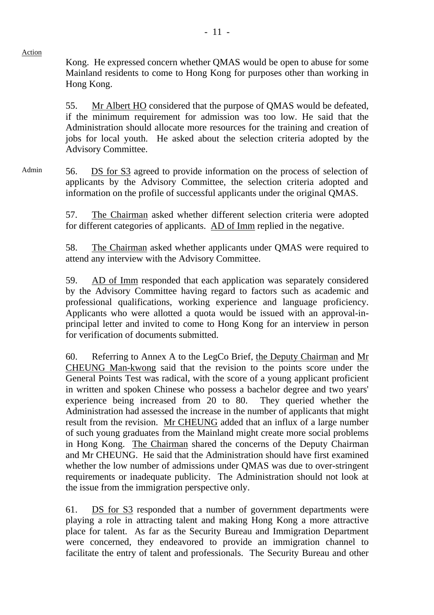Kong. He expressed concern whether QMAS would be open to abuse for some Mainland residents to come to Hong Kong for purposes other than working in Hong Kong.

55. Mr Albert HO considered that the purpose of QMAS would be defeated, if the minimum requirement for admission was too low. He said that the Administration should allocate more resources for the training and creation of jobs for local youth. He asked about the selection criteria adopted by the Advisory Committee.

Admin 56. DS for S3 agreed to provide information on the process of selection of applicants by the Advisory Committee, the selection criteria adopted and information on the profile of successful applicants under the original QMAS.

> 57. The Chairman asked whether different selection criteria were adopted for different categories of applicants. AD of Imm replied in the negative.

> 58. The Chairman asked whether applicants under QMAS were required to attend any interview with the Advisory Committee.

> 59. AD of Imm responded that each application was separately considered by the Advisory Committee having regard to factors such as academic and professional qualifications, working experience and language proficiency. Applicants who were allotted a quota would be issued with an approval-inprincipal letter and invited to come to Hong Kong for an interview in person for verification of documents submitted.

> 60. Referring to Annex A to the LegCo Brief, the Deputy Chairman and Mr CHEUNG Man-kwong said that the revision to the points score under the General Points Test was radical, with the score of a young applicant proficient in written and spoken Chinese who possess a bachelor degree and two years' experience being increased from 20 to 80. They queried whether the Administration had assessed the increase in the number of applicants that might result from the revision. Mr CHEUNG added that an influx of a large number of such young graduates from the Mainland might create more social problems in Hong Kong. The Chairman shared the concerns of the Deputy Chairman and Mr CHEUNG. He said that the Administration should have first examined whether the low number of admissions under QMAS was due to over-stringent requirements or inadequate publicity. The Administration should not look at the issue from the immigration perspective only.

> 61. DS for S3 responded that a number of government departments were playing a role in attracting talent and making Hong Kong a more attractive place for talent. As far as the Security Bureau and Immigration Department were concerned, they endeavored to provide an immigration channel to facilitate the entry of talent and professionals. The Security Bureau and other